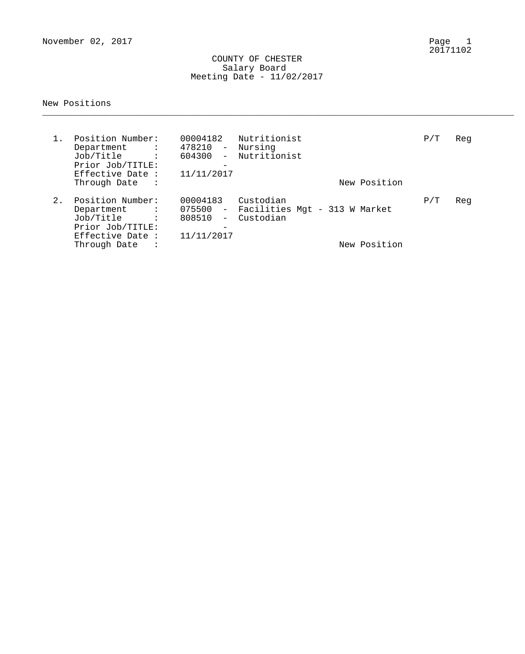November 02, 2017

Page 1<br>20171102

### COUNTY OF CHESTER Salary Board Meeting Date - 11/02/2017

## New Positions

| $1$ . | Position Number:<br>Department :<br>Job/Title<br>$\sim 10^{11}$ and $\sim 10^{11}$<br>Prior Job/TITLE:<br>Effective Date :<br>Through Date<br>$\sim$ $\sim$ $\sim$ $\sim$ | 00004182<br>478210 -<br>604300<br>$\sim$<br>$\overline{\phantom{m}}$<br>11/11/2017  | Nutritionist<br>Nursing<br>Nutritionist                 | New Position | P/T | Reg |
|-------|---------------------------------------------------------------------------------------------------------------------------------------------------------------------------|-------------------------------------------------------------------------------------|---------------------------------------------------------|--------------|-----|-----|
| 2.    | Position Number:<br>Department :<br>Job/Title<br>$\sim$ 100 $\pm$ 100 $\pm$<br>Prior Job/TITLE:<br>Effective Date :<br>Through Date<br>$\ddot{\cdot}$                     | 00004183<br>$075500 -$<br>808510<br>$ \,$<br>$\overline{\phantom{m}}$<br>11/11/2017 | Custodian<br>Facilities Mgt - 313 W Market<br>Custodian | New Position | P/T | Reg |

\_\_\_\_\_\_\_\_\_\_\_\_\_\_\_\_\_\_\_\_\_\_\_\_\_\_\_\_\_\_\_\_\_\_\_\_\_\_\_\_\_\_\_\_\_\_\_\_\_\_\_\_\_\_\_\_\_\_\_\_\_\_\_\_\_\_\_\_\_\_\_\_\_\_\_\_\_\_\_\_\_\_\_\_\_\_\_\_\_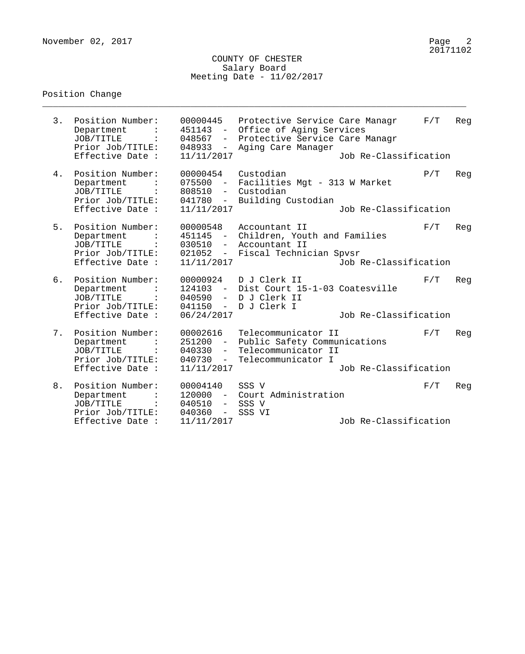### COUNTY OF CHESTER Salary Board Meeting Date - 11/02/2017

\_\_\_\_\_\_\_\_\_\_\_\_\_\_\_\_\_\_\_\_\_\_\_\_\_\_\_\_\_\_\_\_\_\_\_\_\_\_\_\_\_\_\_\_\_\_\_\_\_\_\_\_\_\_\_\_\_\_\_\_\_\_\_\_\_\_\_\_\_\_\_\_\_\_\_\_\_\_\_\_

# Position Change

| 3. | Position Number:<br>Department<br>JOB/TITLE<br>Prior Job/TITLE:<br>Effective Date : | 00000445<br>451143 -<br>048567<br>048933<br>$  \,$<br>11/11/2017                             | Protective Service Care Managr<br>Office of Aging Services<br>- Protective Service Care Managr<br>Aging Care Manager | Job Re-Classification | F/T | Reg |
|----|-------------------------------------------------------------------------------------|----------------------------------------------------------------------------------------------|----------------------------------------------------------------------------------------------------------------------|-----------------------|-----|-----|
| 4. | Position Number:<br>Department<br>JOB/TITLE<br>Prior Job/TITLE:<br>Effective Date : | 00000454<br>075500<br>$\sim$<br>808510<br>$-$<br>041780<br>$\equiv$<br>11/11/2017            | Custodian<br>Facilities Mgt - 313 W Market<br>Custodian<br>Building Custodian                                        | Job Re-Classification | P/T | Reg |
| 5. | Position Number:<br>Department<br>JOB/TITLE<br>Prior Job/TITLE:<br>Effective Date : | 00000548<br>451145<br>$\sim$ $-$<br>030510<br>$\frac{1}{2}$<br>021052<br>11/11/2017          | Accountant II<br>Children, Youth and Families<br>Accountant II<br>- Fiscal Technician Spvsr                          | Job Re-Classification | F/T | Reg |
| б. | Position Number:<br>Department<br>JOB/TITLE<br>Prior Job/TITLE:<br>Effective Date : | 00000924<br>040590<br>041150<br>06/24/2017                                                   | D J Clerk II<br>124103 - Dist Court 15-1-03 Coatesville<br>- D J Clerk II<br>- DJ Clerk I                            | Job Re-Classification | F/T | Reg |
| 7. | Position Number:<br>Department<br>JOB/TITLE<br>Prior Job/TITLE:<br>Effective Date : | 00002616<br>251200<br>$ \,$<br>040330<br>$\sim$<br>040730<br>$\sim$<br>11/11/2017            | Telecommunicator II<br>Public Safety Communications<br>Telecommunicator II<br>Telecommunicator I                     | Job Re-Classification | F/T | Reg |
| 8. | Position Number:<br>Department<br>JOB/TITLE<br>Prior Job/TITLE:<br>Effective Date : | 00004140<br>120000<br>$\sim$ $-$<br>040510<br>$ \,$<br>040360<br>$\frac{1}{2}$<br>11/11/2017 | SSS V<br>Court Administration<br>SSS V<br>SSS VI                                                                     | Job Re-Classification | F/T | Reg |